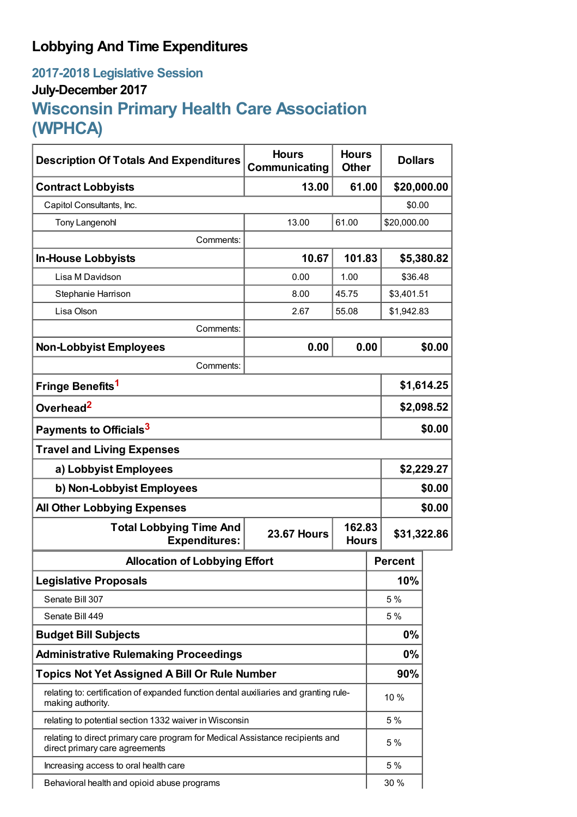## **Lobbying And Time Expenditures**

## **2017-2018 Legislative Session July-December 2017 Wisconsin Primary Health Care Association (WPHCA)**

| <b>Description Of Totals And Expenditures</b>                                                                   | <b>Hours</b><br>Communicating                | <b>Hours</b><br><b>Other</b> | <b>Dollars</b> |            |  |
|-----------------------------------------------------------------------------------------------------------------|----------------------------------------------|------------------------------|----------------|------------|--|
| <b>Contract Lobbyists</b>                                                                                       | 13.00                                        | 61.00                        | \$20,000.00    |            |  |
| Capitol Consultants, Inc.                                                                                       |                                              |                              | \$0.00         |            |  |
| <b>Tony Langenohl</b>                                                                                           | 13.00                                        | 61.00                        | \$20,000.00    |            |  |
| Comments:                                                                                                       |                                              |                              |                |            |  |
| <b>In-House Lobbyists</b>                                                                                       | 10.67                                        | 101.83                       | \$5,380.82     |            |  |
| Lisa M Davidson                                                                                                 | 0.00                                         | 1.00                         | \$36.48        |            |  |
| Stephanie Harrison                                                                                              | 8.00                                         | 45.75                        | \$3,401.51     |            |  |
| Lisa Olson                                                                                                      | 2.67                                         | 55.08                        | \$1,942.83     |            |  |
| Comments:                                                                                                       |                                              |                              |                |            |  |
| <b>Non-Lobbyist Employees</b>                                                                                   | 0.00                                         | 0.00                         |                | \$0.00     |  |
| Comments:                                                                                                       |                                              |                              |                |            |  |
| Fringe Benefits <sup>1</sup>                                                                                    |                                              |                              | \$1,614.25     |            |  |
| Overhead <sup>2</sup>                                                                                           |                                              |                              |                | \$2,098.52 |  |
| Payments to Officials <sup>3</sup>                                                                              |                                              |                              |                | \$0.00     |  |
| <b>Travel and Living Expenses</b>                                                                               |                                              |                              |                |            |  |
| a) Lobbyist Employees                                                                                           |                                              |                              |                | \$2,229.27 |  |
| b) Non-Lobbyist Employees                                                                                       |                                              |                              |                | \$0.00     |  |
| <b>All Other Lobbying Expenses</b><br>\$0.00                                                                    |                                              |                              |                |            |  |
| <b>Total Lobbying Time And</b><br><b>Expenditures:</b>                                                          | 162.83<br><b>23.67 Hours</b><br><b>Hours</b> |                              | \$31,322.86    |            |  |
| <b>Allocation of Lobbying Effort</b>                                                                            |                                              |                              | <b>Percent</b> |            |  |
| <b>Legislative Proposals</b>                                                                                    |                                              |                              | 10%            |            |  |
| Senate Bill 307                                                                                                 |                                              |                              | 5 %            |            |  |
| Senate Bill 449                                                                                                 |                                              |                              | 5%             |            |  |
| <b>Budget Bill Subjects</b>                                                                                     |                                              |                              | 0%             |            |  |
| <b>Administrative Rulemaking Proceedings</b>                                                                    |                                              |                              | 0%             |            |  |
| <b>Topics Not Yet Assigned A Bill Or Rule Number</b>                                                            |                                              |                              | 90%            |            |  |
| relating to: certification of expanded function dental auxiliaries and granting rule-<br>making authority.      |                                              |                              | 10 %           |            |  |
| relating to potential section 1332 waiver in Wisconsin                                                          |                                              |                              | 5 %            |            |  |
| relating to direct primary care program for Medical Assistance recipients and<br>direct primary care agreements |                                              |                              | 5 %            |            |  |
| Increasing access to oral health care                                                                           |                                              |                              | 5 %            |            |  |
| Behavioral health and opioid abuse programs                                                                     |                                              |                              | 30 %           |            |  |